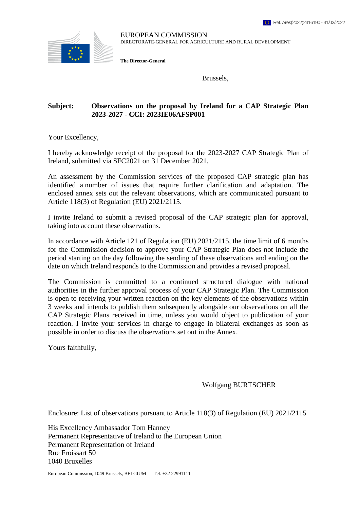

EUROPEAN COMMISSION DIRECTORATE-GENERAL FOR AGRICULTURE AND RURAL DEVELOPMENT

**The Director-General**

Brussels,

#### **Subject: Observations on the proposal by Ireland for a CAP Strategic Plan 2023-2027 - CCI: 2023IE06AFSP001**

Your Excellency,

I hereby acknowledge receipt of the proposal for the 2023-2027 CAP Strategic Plan of Ireland, submitted via SFC2021 on 31 December 2021.

An assessment by the Commission services of the proposed CAP strategic plan has identified a number of issues that require further clarification and adaptation. The enclosed annex sets out the relevant observations, which are communicated pursuant to Article 118(3) of Regulation (EU) 2021/2115.

I invite Ireland to submit a revised proposal of the CAP strategic plan for approval, taking into account these observations.

In accordance with Article 121 of Regulation (EU) 2021/2115, the time limit of 6 months for the Commission decision to approve your CAP Strategic Plan does not include the period starting on the day following the sending of these observations and ending on the date on which Ireland responds to the Commission and provides a revised proposal.

The Commission is committed to a continued structured dialogue with national authorities in the further approval process of your CAP Strategic Plan. The Commission is open to receiving your written reaction on the key elements of the observations within 3 weeks and intends to publish them subsequently alongside our observations on all the CAP Strategic Plans received in time, unless you would object to publication of your reaction. I invite your services in charge to engage in bilateral exchanges as soon as possible in order to discuss the observations set out in the Annex.

Yours faithfully,

Wolfgang BURTSCHER

Enclosure: List of observations pursuant to Article 118(3) of Regulation (EU) 2021/2115

His Excellency Ambassador Tom Hanney Permanent Representative of Ireland to the European Union Permanent Representation of Ireland Rue Froissart 50 1040 Bruxelles

European Commission, 1049 Brussels, BELGIUM — Tel. +32 22991111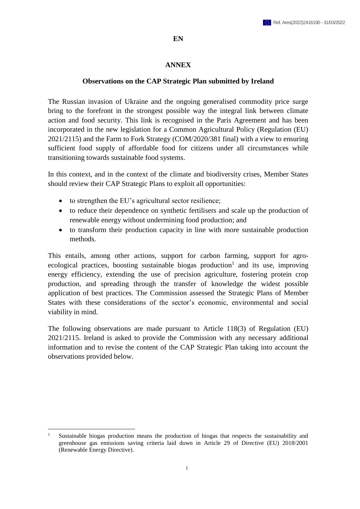#### **EN**

#### **ANNEX**

#### **Observations on the CAP Strategic Plan submitted by Ireland**

The Russian invasion of Ukraine and the ongoing generalised commodity price surge bring to the forefront in the strongest possible way the integral link between climate action and food security. This link is recognised in the Paris Agreement and has been incorporated in the new legislation for a Common Agricultural Policy (Regulation (EU) 2021/2115) and the Farm to Fork Strategy (COM/2020/381 final) with a view to ensuring sufficient food supply of affordable food for citizens under all circumstances while transitioning towards sustainable food systems.

In this context, and in the context of the climate and biodiversity crises, Member States should review their CAP Strategic Plans to exploit all opportunities:

- to strengthen the EU's agricultural sector resilience;
- to reduce their dependence on synthetic fertilisers and scale up the production of renewable energy without undermining food production; and
- to transform their production capacity in line with more sustainable production methods.

This entails, among other actions, support for carbon farming, support for agroecological practices, boosting sustainable biogas production<sup>1</sup> and its use, improving energy efficiency, extending the use of precision agriculture, fostering protein crop production, and spreading through the transfer of knowledge the widest possible application of best practices. The Commission assessed the Strategic Plans of Member States with these considerations of the sector's economic, environmental and social viability in mind.

The following observations are made pursuant to Article 118(3) of Regulation (EU) 2021/2115. Ireland is asked to provide the Commission with any necessary additional information and to revise the content of the CAP Strategic Plan taking into account the observations provided below.

 $\overline{a}$ 

<sup>1</sup> Sustainable biogas production means the production of biogas that respects the sustainability and greenhouse gas emissions saving criteria laid down in Article 29 of Directive (EU) 2018/2001 (Renewable Energy Directive).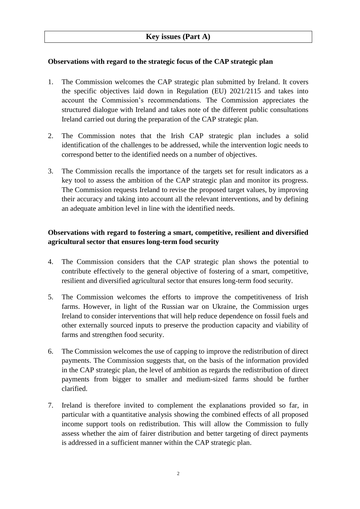## **Observations with regard to the strategic focus of the CAP strategic plan**

- 1. The Commission welcomes the CAP strategic plan submitted by Ireland. It covers the specific objectives laid down in Regulation (EU) 2021/2115 and takes into account the Commission's recommendations. The Commission appreciates the structured dialogue with Ireland and takes note of the different public consultations Ireland carried out during the preparation of the CAP strategic plan.
- 2. The Commission notes that the Irish CAP strategic plan includes a solid identification of the challenges to be addressed, while the intervention logic needs to correspond better to the identified needs on a number of objectives.
- 3. The Commission recalls the importance of the targets set for result indicators as a key tool to assess the ambition of the CAP strategic plan and monitor its progress. The Commission requests Ireland to revise the proposed target values, by improving their accuracy and taking into account all the relevant interventions, and by defining an adequate ambition level in line with the identified needs.

# **Observations with regard to fostering a smart, competitive, resilient and diversified agricultural sector that ensures long-term food security**

- 4. The Commission considers that the CAP strategic plan shows the potential to contribute effectively to the general objective of fostering of a smart, competitive, resilient and diversified agricultural sector that ensures long-term food security.
- 5. The Commission welcomes the efforts to improve the competitiveness of Irish farms. However, in light of the Russian war on Ukraine, the Commission urges Ireland to consider interventions that will help reduce dependence on fossil fuels and other externally sourced inputs to preserve the production capacity and viability of farms and strengthen food security.
- 6. The Commission welcomes the use of capping to improve the redistribution of direct payments. The Commission suggests that, on the basis of the information provided in the CAP strategic plan, the level of ambition as regards the redistribution of direct payments from bigger to smaller and medium-sized farms should be further clarified.
- 7. Ireland is therefore invited to complement the explanations provided so far, in particular with a quantitative analysis showing the combined effects of all proposed income support tools on redistribution. This will allow the Commission to fully assess whether the aim of fairer distribution and better targeting of direct payments is addressed in a sufficient manner within the CAP strategic plan.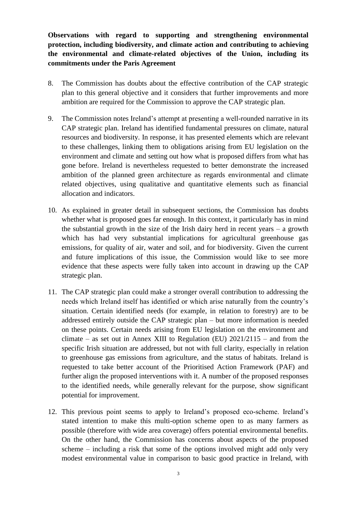**Observations with regard to supporting and strengthening environmental protection, including biodiversity, and climate action and contributing to achieving the environmental and climate-related objectives of the Union, including its commitments under the Paris Agreement**

- 8. The Commission has doubts about the effective contribution of the CAP strategic plan to this general objective and it considers that further improvements and more ambition are required for the Commission to approve the CAP strategic plan.
- 9. The Commission notes Ireland's attempt at presenting a well-rounded narrative in its CAP strategic plan. Ireland has identified fundamental pressures on climate, natural resources and biodiversity. In response, it has presented elements which are relevant to these challenges, linking them to obligations arising from EU legislation on the environment and climate and setting out how what is proposed differs from what has gone before. Ireland is nevertheless requested to better demonstrate the increased ambition of the planned green architecture as regards environmental and climate related objectives, using qualitative and quantitative elements such as financial allocation and indicators.
- 10. As explained in greater detail in subsequent sections, the Commission has doubts whether what is proposed goes far enough. In this context, it particularly has in mind the substantial growth in the size of the Irish dairy herd in recent years – a growth which has had very substantial implications for agricultural greenhouse gas emissions, for quality of air, water and soil, and for biodiversity. Given the current and future implications of this issue, the Commission would like to see more evidence that these aspects were fully taken into account in drawing up the CAP strategic plan.
- 11. The CAP strategic plan could make a stronger overall contribution to addressing the needs which Ireland itself has identified or which arise naturally from the country's situation. Certain identified needs (for example, in relation to forestry) are to be addressed entirely outside the CAP strategic plan – but more information is needed on these points. Certain needs arising from EU legislation on the environment and climate – as set out in Annex XIII to Regulation (EU)  $2021/2115$  – and from the specific Irish situation are addressed, but not with full clarity, especially in relation to greenhouse gas emissions from agriculture, and the status of habitats. Ireland is requested to take better account of the Prioritised Action Framework (PAF) and further align the proposed interventions with it. A number of the proposed responses to the identified needs, while generally relevant for the purpose, show significant potential for improvement.
- 12. This previous point seems to apply to Ireland's proposed eco-scheme. Ireland's stated intention to make this multi-option scheme open to as many farmers as possible (therefore with wide area coverage) offers potential environmental benefits. On the other hand, the Commission has concerns about aspects of the proposed scheme – including a risk that some of the options involved might add only very modest environmental value in comparison to basic good practice in Ireland, with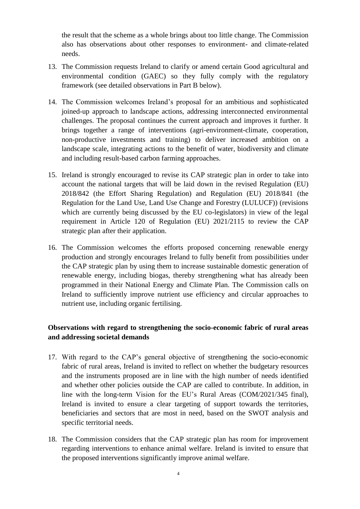the result that the scheme as a whole brings about too little change. The Commission also has observations about other responses to environment- and climate-related needs.

- 13. The Commission requests Ireland to clarify or amend certain Good agricultural and environmental condition (GAEC) so they fully comply with the regulatory framework (see detailed observations in Part B below).
- 14. The Commission welcomes Ireland's proposal for an ambitious and sophisticated joined-up approach to landscape actions, addressing interconnected environmental challenges. The proposal continues the current approach and improves it further. It brings together a range of interventions (agri-environment-climate, cooperation, non-productive investments and training) to deliver increased ambition on a landscape scale, integrating actions to the benefit of water, biodiversity and climate and including result-based carbon farming approaches.
- 15. Ireland is strongly encouraged to revise its CAP strategic plan in order to take into account the national targets that will be laid down in the revised Regulation (EU) 2018/842 (the Effort Sharing Regulation) and Regulation (EU) 2018/841 (the Regulation for the Land Use, Land Use Change and Forestry (LULUCF)) (revisions which are currently being discussed by the EU co-legislators) in view of the legal requirement in Article 120 of Regulation (EU) 2021/2115 to review the CAP strategic plan after their application.
- 16. The Commission welcomes the efforts proposed concerning renewable energy production and strongly encourages Ireland to fully benefit from possibilities under the CAP strategic plan by using them to increase sustainable domestic generation of renewable energy, including biogas, thereby strengthening what has already been programmed in their National Energy and Climate Plan. The Commission calls on Ireland to sufficiently improve nutrient use efficiency and circular approaches to nutrient use, including organic fertilising.

## **Observations with regard to strengthening the socio-economic fabric of rural areas and addressing societal demands**

- 17. With regard to the CAP's general objective of strengthening the socio-economic fabric of rural areas, Ireland is invited to reflect on whether the budgetary resources and the instruments proposed are in line with the high number of needs identified and whether other policies outside the CAP are called to contribute. In addition, in line with the long-term Vision for the EU's Rural Areas (COM/2021/345 final), Ireland is invited to ensure a clear targeting of support towards the territories, beneficiaries and sectors that are most in need, based on the SWOT analysis and specific territorial needs.
- 18. The Commission considers that the CAP strategic plan has room for improvement regarding interventions to enhance animal welfare. Ireland is invited to ensure that the proposed interventions significantly improve animal welfare.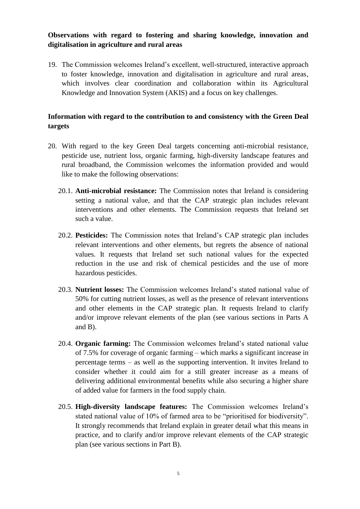## **Observations with regard to fostering and sharing knowledge, innovation and digitalisation in agriculture and rural areas**

19. The Commission welcomes Ireland's excellent, well-structured, interactive approach to foster knowledge, innovation and digitalisation in agriculture and rural areas, which involves clear coordination and collaboration within its Agricultural Knowledge and Innovation System (AKIS) and a focus on key challenges.

## **Information with regard to the contribution to and consistency with the Green Deal targets**

- 20. With regard to the key Green Deal targets concerning anti-microbial resistance, pesticide use, nutrient loss, organic farming, high-diversity landscape features and rural broadband, the Commission welcomes the information provided and would like to make the following observations:
	- 20.1. **Anti-microbial resistance:** The Commission notes that Ireland is considering setting a national value, and that the CAP strategic plan includes relevant interventions and other elements. The Commission requests that Ireland set such a value.
	- 20.2. **Pesticides:** The Commission notes that Ireland's CAP strategic plan includes relevant interventions and other elements, but regrets the absence of national values. It requests that Ireland set such national values for the expected reduction in the use and risk of chemical pesticides and the use of more hazardous pesticides.
	- 20.3. **Nutrient losses:** The Commission welcomes Ireland's stated national value of 50% for cutting nutrient losses, as well as the presence of relevant interventions and other elements in the CAP strategic plan. It requests Ireland to clarify and/or improve relevant elements of the plan (see various sections in Parts A and B).
	- 20.4. **Organic farming:** The Commission welcomes Ireland's stated national value of 7.5% for coverage of organic farming – which marks a significant increase in percentage terms – as well as the supporting intervention. It invites Ireland to consider whether it could aim for a still greater increase as a means of delivering additional environmental benefits while also securing a higher share of added value for farmers in the food supply chain.
	- 20.5. **High-diversity landscape features:** The Commission welcomes Ireland's stated national value of 10% of farmed area to be "prioritised for biodiversity". It strongly recommends that Ireland explain in greater detail what this means in practice, and to clarify and/or improve relevant elements of the CAP strategic plan (see various sections in Part B).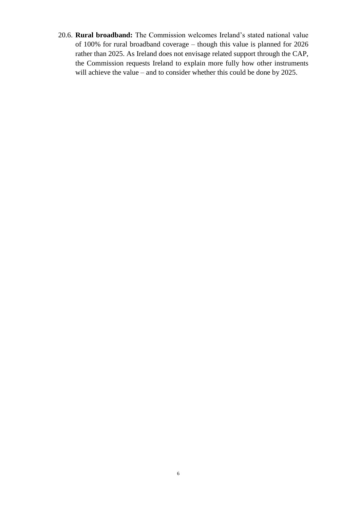20.6. **Rural broadband:** The Commission welcomes Ireland's stated national value of 100% for rural broadband coverage – though this value is planned for 2026 rather than 2025. As Ireland does not envisage related support through the CAP, the Commission requests Ireland to explain more fully how other instruments will achieve the value – and to consider whether this could be done by 2025.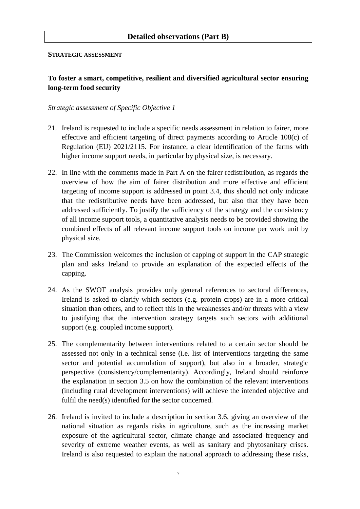### **Detailed observations (Part B)**

#### **STRATEGIC ASSESSMENT**

## **To foster a smart, competitive, resilient and diversified agricultural sector ensuring long-term food security**

- 21. Ireland is requested to include a specific needs assessment in relation to fairer, more effective and efficient targeting of direct payments according to Article 108(c) of Regulation (EU) 2021/2115. For instance, a clear identification of the farms with higher income support needs, in particular by physical size, is necessary.
- 22. In line with the comments made in Part A on the fairer redistribution, as regards the overview of how the aim of fairer distribution and more effective and efficient targeting of income support is addressed in point 3.4, this should not only indicate that the redistributive needs have been addressed, but also that they have been addressed sufficiently. To justify the sufficiency of the strategy and the consistency of all income support tools, a quantitative analysis needs to be provided showing the combined effects of all relevant income support tools on income per work unit by physical size.
- 23. The Commission welcomes the inclusion of capping of support in the CAP strategic plan and asks Ireland to provide an explanation of the expected effects of the capping.
- 24. As the SWOT analysis provides only general references to sectoral differences, Ireland is asked to clarify which sectors (e.g. protein crops) are in a more critical situation than others, and to reflect this in the weaknesses and/or threats with a view to justifying that the intervention strategy targets such sectors with additional support (e.g. coupled income support).
- 25. The complementarity between interventions related to a certain sector should be assessed not only in a technical sense (i.e. list of interventions targeting the same sector and potential accumulation of support), but also in a broader, strategic perspective (consistency/complementarity). Accordingly, Ireland should reinforce the explanation in section 3.5 on how the combination of the relevant interventions (including rural development interventions) will achieve the intended objective and fulfil the need(s) identified for the sector concerned.
- 26. Ireland is invited to include a description in section 3.6, giving an overview of the national situation as regards risks in agriculture, such as the increasing market exposure of the agricultural sector, climate change and associated frequency and severity of extreme weather events, as well as sanitary and phytosanitary crises. Ireland is also requested to explain the national approach to addressing these risks,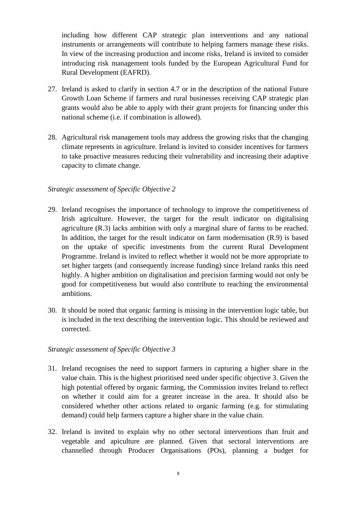including how different CAP strategic plan interventions and any national instruments or arrangements will contribute to helping farmers manage these risks. In view of the increasing production and income risks, Ireland is invited to consider introducing risk management tools funded by the European Agricultural Fund for Rural Development (EAFRD).

- 27. Ireland is asked to clarify in section 4.7 or in the description of the national Future Growth Loan Scheme if farmers and rural businesses receiving CAP strategic plan grants would also be able to apply with their grant projects for financing under this national scheme (i.e. if combination is allowed).
- 28. Agricultural risk management tools may address the growing risks that the changing climate represents in agriculture. Ireland is invited to consider incentives for farmers to take proactive measures reducing their vulnerability and increasing their adaptive capacity to climate change.

#### *Strategic assessment of Specific Objective 2*

- 29. Ireland recognises the importance of technology to improve the competitiveness of Irish agriculture. However, the target for the result indicator on digitalising agriculture (R.3) lacks ambition with only a marginal share of farms to be reached. In addition, the target for the result indicator on farm modernisation (R.9) is based on the uptake of specific investments from the current Rural Development Programme. Ireland is invited to reflect whether it would not be more appropriate to set higher targets (and consequently increase funding) since Ireland ranks this need highly. A higher ambition on digitalisation and precision farming would not only be good for competitiveness but would also contribute to reaching the environmental ambitions.
- 30. It should be noted that organic farming is missing in the intervention logic table, but is included in the text describing the intervention logic. This should be reviewed and corrected.

- 31. Ireland recognises the need to support farmers in capturing a higher share in the value chain. This is the highest prioritised need under specific objective 3. Given the high potential offered by organic farming, the Commission invites Ireland to reflect on whether it could aim for a greater increase in the area. It should also be considered whether other actions related to organic farming (e.g. for stimulating demand) could help farmers capture a higher share in the value chain.
- 32. Ireland is invited to explain why no other sectoral interventions than fruit and vegetable and apiculture are planned. Given that sectoral interventions are channelled through Producer Organisations (POs), planning a budget for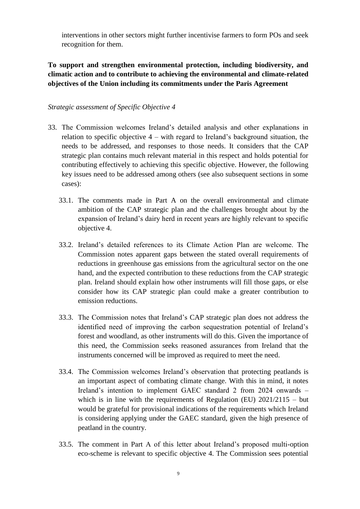interventions in other sectors might further incentivise farmers to form POs and seek recognition for them.

# **To support and strengthen environmental protection, including biodiversity, and climatic action and to contribute to achieving the environmental and climate-related objectives of the Union including its commitments under the Paris Agreement**

- 33. The Commission welcomes Ireland's detailed analysis and other explanations in relation to specific objective 4 – with regard to Ireland's background situation, the needs to be addressed, and responses to those needs. It considers that the CAP strategic plan contains much relevant material in this respect and holds potential for contributing effectively to achieving this specific objective. However, the following key issues need to be addressed among others (see also subsequent sections in some cases):
	- 33.1. The comments made in Part A on the overall environmental and climate ambition of the CAP strategic plan and the challenges brought about by the expansion of Ireland's dairy herd in recent years are highly relevant to specific objective 4.
	- 33.2. Ireland's detailed references to its Climate Action Plan are welcome. The Commission notes apparent gaps between the stated overall requirements of reductions in greenhouse gas emissions from the agricultural sector on the one hand, and the expected contribution to these reductions from the CAP strategic plan. Ireland should explain how other instruments will fill those gaps, or else consider how its CAP strategic plan could make a greater contribution to emission reductions.
	- 33.3. The Commission notes that Ireland's CAP strategic plan does not address the identified need of improving the carbon sequestration potential of Ireland's forest and woodland, as other instruments will do this. Given the importance of this need, the Commission seeks reasoned assurances from Ireland that the instruments concerned will be improved as required to meet the need.
	- 33.4. The Commission welcomes Ireland's observation that protecting peatlands is an important aspect of combating climate change. With this in mind, it notes Ireland's intention to implement GAEC standard 2 from 2024 onwards – which is in line with the requirements of Regulation (EU)  $2021/2115 - \text{but}$ would be grateful for provisional indications of the requirements which Ireland is considering applying under the GAEC standard, given the high presence of peatland in the country.
	- 33.5. The comment in Part A of this letter about Ireland's proposed multi-option eco-scheme is relevant to specific objective 4. The Commission sees potential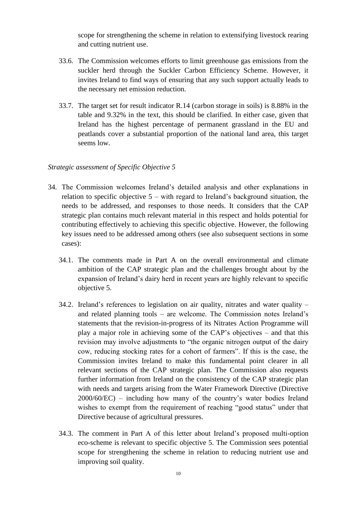scope for strengthening the scheme in relation to extensifying livestock rearing and cutting nutrient use.

- 33.6. The Commission welcomes efforts to limit greenhouse gas emissions from the suckler herd through the Suckler Carbon Efficiency Scheme. However, it invites Ireland to find ways of ensuring that any such support actually leads to the necessary net emission reduction.
- 33.7. The target set for result indicator R.14 (carbon storage in soils) is 8.88% in the table and 9.32% in the text, this should be clarified. In either case, given that Ireland has the highest percentage of permanent grassland in the EU and peatlands cover a substantial proportion of the national land area, this target seems low.

- 34. The Commission welcomes Ireland's detailed analysis and other explanations in relation to specific objective  $5 -$  with regard to Ireland's background situation, the needs to be addressed, and responses to those needs. It considers that the CAP strategic plan contains much relevant material in this respect and holds potential for contributing effectively to achieving this specific objective. However, the following key issues need to be addressed among others (see also subsequent sections in some cases):
	- 34.1. The comments made in Part A on the overall environmental and climate ambition of the CAP strategic plan and the challenges brought about by the expansion of Ireland's dairy herd in recent years are highly relevant to specific objective 5.
	- 34.2. Ireland's references to legislation on air quality, nitrates and water quality and related planning tools – are welcome. The Commission notes Ireland's statements that the revision-in-progress of its Nitrates Action Programme will play a major role in achieving some of the CAP's objectives – and that this revision may involve adjustments to "the organic nitrogen output of the dairy cow, reducing stocking rates for a cohort of farmers". If this is the case, the Commission invites Ireland to make this fundamental point clearer in all relevant sections of the CAP strategic plan. The Commission also requests further information from Ireland on the consistency of the CAP strategic plan with needs and targets arising from the Water Framework Directive (Directive 2000/60/EC) – including how many of the country's water bodies Ireland wishes to exempt from the requirement of reaching "good status" under that Directive because of agricultural pressures.
	- 34.3. The comment in Part A of this letter about Ireland's proposed multi-option eco-scheme is relevant to specific objective 5. The Commission sees potential scope for strengthening the scheme in relation to reducing nutrient use and improving soil quality.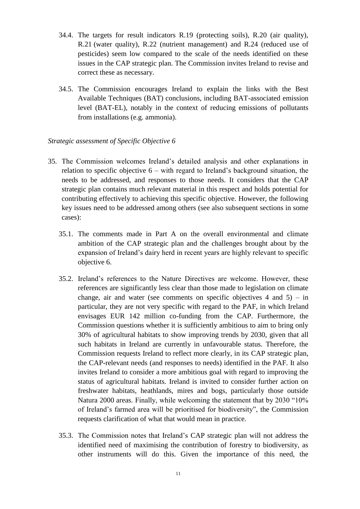- 34.4. The targets for result indicators R.19 (protecting soils), R.20 (air quality), R.21 (water quality), R.22 (nutrient management) and R.24 (reduced use of pesticides) seem low compared to the scale of the needs identified on these issues in the CAP strategic plan. The Commission invites Ireland to revise and correct these as necessary.
- 34.5. The Commission encourages Ireland to explain the links with the Best Available Techniques (BAT) conclusions, including BAT-associated emission level (BAT-EL), notably in the context of reducing emissions of pollutants from installations (e.g. ammonia).

- 35. The Commission welcomes Ireland's detailed analysis and other explanations in relation to specific objective  $6 -$  with regard to Ireland's background situation, the needs to be addressed, and responses to those needs. It considers that the CAP strategic plan contains much relevant material in this respect and holds potential for contributing effectively to achieving this specific objective. However, the following key issues need to be addressed among others (see also subsequent sections in some cases):
	- 35.1. The comments made in Part A on the overall environmental and climate ambition of the CAP strategic plan and the challenges brought about by the expansion of Ireland's dairy herd in recent years are highly relevant to specific objective 6.
	- 35.2. Ireland's references to the Nature Directives are welcome. However, these references are significantly less clear than those made to legislation on climate change, air and water (see comments on specific objectives  $4$  and  $5$ ) – in particular, they are not very specific with regard to the PAF, in which Ireland envisages EUR 142 million co-funding from the CAP. Furthermore, the Commission questions whether it is sufficiently ambitious to aim to bring only 30% of agricultural habitats to show improving trends by 2030, given that all such habitats in Ireland are currently in unfavourable status. Therefore, the Commission requests Ireland to reflect more clearly, in its CAP strategic plan, the CAP-relevant needs (and responses to needs) identified in the PAF. It also invites Ireland to consider a more ambitious goal with regard to improving the status of agricultural habitats. Ireland is invited to consider further action on freshwater habitats, heathlands, mires and bogs, particularly those outside Natura 2000 areas. Finally, while welcoming the statement that by 2030 "10% of Ireland's farmed area will be prioritised for biodiversity", the Commission requests clarification of what that would mean in practice.
	- 35.3. The Commission notes that Ireland's CAP strategic plan will not address the identified need of maximising the contribution of forestry to biodiversity, as other instruments will do this. Given the importance of this need, the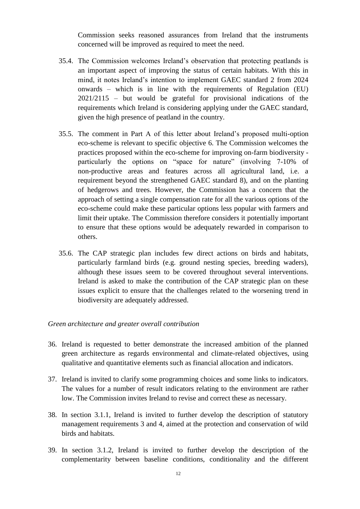Commission seeks reasoned assurances from Ireland that the instruments concerned will be improved as required to meet the need.

- 35.4. The Commission welcomes Ireland's observation that protecting peatlands is an important aspect of improving the status of certain habitats. With this in mind, it notes Ireland's intention to implement GAEC standard 2 from 2024 onwards – which is in line with the requirements of Regulation (EU) 2021/2115 – but would be grateful for provisional indications of the requirements which Ireland is considering applying under the GAEC standard, given the high presence of peatland in the country.
- 35.5. The comment in Part A of this letter about Ireland's proposed multi-option eco-scheme is relevant to specific objective 6. The Commission welcomes the practices proposed within the eco-scheme for improving on-farm biodiversity particularly the options on "space for nature" (involving 7-10% of non-productive areas and features across all agricultural land, i.e. a requirement beyond the strengthened GAEC standard 8), and on the planting of hedgerows and trees. However, the Commission has a concern that the approach of setting a single compensation rate for all the various options of the eco-scheme could make these particular options less popular with farmers and limit their uptake. The Commission therefore considers it potentially important to ensure that these options would be adequately rewarded in comparison to others.
- 35.6. The CAP strategic plan includes few direct actions on birds and habitats, particularly farmland birds (e.g. ground nesting species, breeding waders), although these issues seem to be covered throughout several interventions. Ireland is asked to make the contribution of the CAP strategic plan on these issues explicit to ensure that the challenges related to the worsening trend in biodiversity are adequately addressed.

#### *Green architecture and greater overall contribution*

- 36. Ireland is requested to better demonstrate the increased ambition of the planned green architecture as regards environmental and climate-related objectives, using qualitative and quantitative elements such as financial allocation and indicators.
- 37. Ireland is invited to clarify some programming choices and some links to indicators. The values for a number of result indicators relating to the environment are rather low. The Commission invites Ireland to revise and correct these as necessary.
- 38. In section 3.1.1, Ireland is invited to further develop the description of statutory management requirements 3 and 4, aimed at the protection and conservation of wild birds and habitats.
- 39. In section 3.1.2, Ireland is invited to further develop the description of the complementarity between baseline conditions, conditionality and the different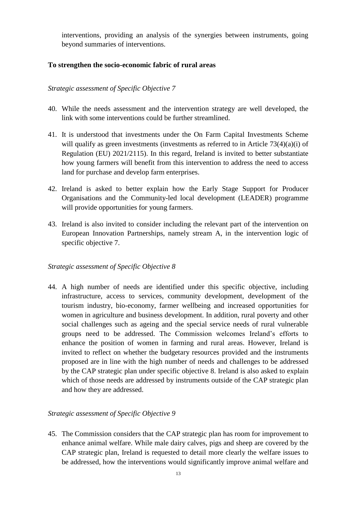interventions, providing an analysis of the synergies between instruments, going beyond summaries of interventions.

### **To strengthen the socio-economic fabric of rural areas**

### *Strategic assessment of Specific Objective 7*

- 40. While the needs assessment and the intervention strategy are well developed, the link with some interventions could be further streamlined.
- 41. It is understood that investments under the On Farm Capital Investments Scheme will qualify as green investments (investments as referred to in Article  $73(4)(a)(i)$  of Regulation (EU) 2021/2115). In this regard, Ireland is invited to better substantiate how young farmers will benefit from this intervention to address the need to access land for purchase and develop farm enterprises.
- 42. Ireland is asked to better explain how the Early Stage Support for Producer Organisations and the Community-led local development (LEADER) programme will provide opportunities for young farmers.
- 43. Ireland is also invited to consider including the relevant part of the intervention on European Innovation Partnerships, namely stream A, in the intervention logic of specific objective 7.

### *Strategic assessment of Specific Objective 8*

44. A high number of needs are identified under this specific objective, including infrastructure, access to services, community development, development of the tourism industry, bio-economy, farmer wellbeing and increased opportunities for women in agriculture and business development. In addition, rural poverty and other social challenges such as ageing and the special service needs of rural vulnerable groups need to be addressed. The Commission welcomes Ireland's efforts to enhance the position of women in farming and rural areas. However, Ireland is invited to reflect on whether the budgetary resources provided and the instruments proposed are in line with the high number of needs and challenges to be addressed by the CAP strategic plan under specific objective 8. Ireland is also asked to explain which of those needs are addressed by instruments outside of the CAP strategic plan and how they are addressed.

### *Strategic assessment of Specific Objective 9*

45. The Commission considers that the CAP strategic plan has room for improvement to enhance animal welfare. While male dairy calves, pigs and sheep are covered by the CAP strategic plan, Ireland is requested to detail more clearly the welfare issues to be addressed, how the interventions would significantly improve animal welfare and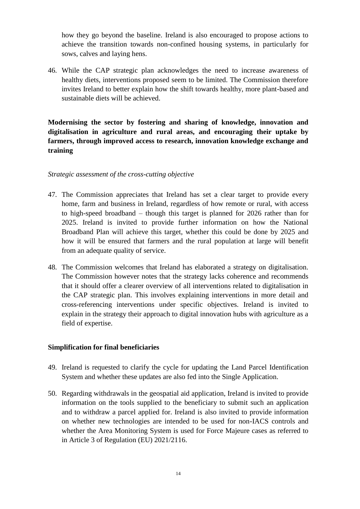how they go beyond the baseline. Ireland is also encouraged to propose actions to achieve the transition towards non-confined housing systems, in particularly for sows, calves and laying hens.

46. While the CAP strategic plan acknowledges the need to increase awareness of healthy diets, interventions proposed seem to be limited. The Commission therefore invites Ireland to better explain how the shift towards healthy, more plant-based and sustainable diets will be achieved.

**Modernising the sector by fostering and sharing of knowledge, innovation and digitalisation in agriculture and rural areas, and encouraging their uptake by farmers, through improved access to research, innovation knowledge exchange and training**

#### *Strategic assessment of the cross-cutting objective*

- 47. The Commission appreciates that Ireland has set a clear target to provide every home, farm and business in Ireland, regardless of how remote or rural, with access to high-speed broadband – though this target is planned for 2026 rather than for 2025. Ireland is invited to provide further information on how the National Broadband Plan will achieve this target, whether this could be done by 2025 and how it will be ensured that farmers and the rural population at large will benefit from an adequate quality of service.
- 48. The Commission welcomes that Ireland has elaborated a strategy on digitalisation. The Commission however notes that the strategy lacks coherence and recommends that it should offer a clearer overview of all interventions related to digitalisation in the CAP strategic plan. This involves explaining interventions in more detail and cross-referencing interventions under specific objectives. Ireland is invited to explain in the strategy their approach to digital innovation hubs with agriculture as a field of expertise.

### **Simplification for final beneficiaries**

- 49. Ireland is requested to clarify the cycle for updating the Land Parcel Identification System and whether these updates are also fed into the Single Application.
- 50. Regarding withdrawals in the geospatial aid application, Ireland is invited to provide information on the tools supplied to the beneficiary to submit such an application and to withdraw a parcel applied for. Ireland is also invited to provide information on whether new technologies are intended to be used for non-IACS controls and whether the Area Monitoring System is used for Force Majeure cases as referred to in Article 3 of Regulation (EU) 2021/2116.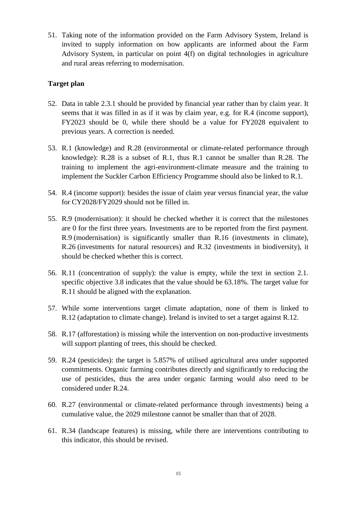51. Taking note of the information provided on the Farm Advisory System, Ireland is invited to supply information on how applicants are informed about the Farm Advisory System, in particular on point 4(f) on digital technologies in agriculture and rural areas referring to modernisation.

### **Target plan**

- 52. Data in table 2.3.1 should be provided by financial year rather than by claim year. It seems that it was filled in as if it was by claim year, e.g. for R.4 (income support), FY2023 should be 0, while there should be a value for FY2028 equivalent to previous years. A correction is needed.
- 53. R.1 (knowledge) and R.28 (environmental or climate-related performance through knowledge): R.28 is a subset of R.1, thus R.1 cannot be smaller than R.28. The training to implement the agri-environment-climate measure and the training to implement the Suckler Carbon Efficiency Programme should also be linked to R.1.
- 54. R.4 (income support): besides the issue of claim year versus financial year, the value for CY2028/FY2029 should not be filled in.
- 55. R.9 (modernisation): it should be checked whether it is correct that the milestones are 0 for the first three years. Investments are to be reported from the first payment. R.9 (modernisation) is significantly smaller than R.16 (investments in climate), R.26 (investments for natural resources) and R.32 (investments in biodiversity), it should be checked whether this is correct.
- 56. R.11 (concentration of supply): the value is empty, while the text in section 2.1. specific objective 3.8 indicates that the value should be 63.18%. The target value for R.11 should be aligned with the explanation.
- 57. While some interventions target climate adaptation, none of them is linked to R.12 (adaptation to climate change). Ireland is invited to set a target against R.12.
- 58. R.17 (afforestation) is missing while the intervention on non-productive investments will support planting of trees, this should be checked.
- 59. R.24 (pesticides): the target is 5.857% of utilised agricultural area under supported commitments. Organic farming contributes directly and significantly to reducing the use of pesticides, thus the area under organic farming would also need to be considered under R.24.
- 60. R.27 (environmental or climate-related performance through investments) being a cumulative value, the 2029 milestone cannot be smaller than that of 2028.
- 61. R.34 (landscape features) is missing, while there are interventions contributing to this indicator, this should be revised.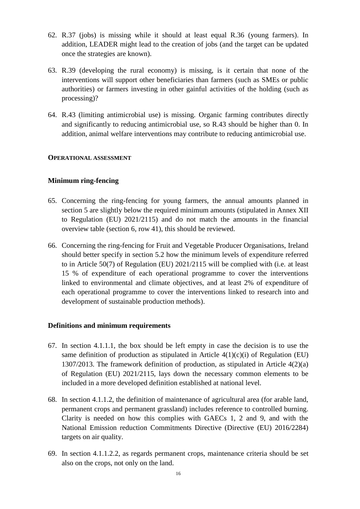- 62. R.37 (jobs) is missing while it should at least equal R.36 (young farmers). In addition, LEADER might lead to the creation of jobs (and the target can be updated once the strategies are known).
- 63. R.39 (developing the rural economy) is missing, is it certain that none of the interventions will support other beneficiaries than farmers (such as SMEs or public authorities) or farmers investing in other gainful activities of the holding (such as processing)?
- 64. R.43 (limiting antimicrobial use) is missing. Organic farming contributes directly and significantly to reducing antimicrobial use, so R.43 should be higher than 0. In addition, animal welfare interventions may contribute to reducing antimicrobial use.

#### **OPERATIONAL ASSESSMENT**

#### **Minimum ring-fencing**

- 65. Concerning the ring-fencing for young farmers, the annual amounts planned in section 5 are slightly below the required minimum amounts (stipulated in Annex XII to Regulation (EU) 2021/2115) and do not match the amounts in the financial overview table (section 6, row 41), this should be reviewed.
- 66. Concerning the ring-fencing for Fruit and Vegetable Producer Organisations, Ireland should better specify in section 5.2 how the minimum levels of expenditure referred to in Article 50(7) of Regulation (EU) 2021/2115 will be complied with (i.e. at least 15 % of expenditure of each operational programme to cover the interventions linked to environmental and climate objectives, and at least 2% of expenditure of each operational programme to cover the interventions linked to research into and development of sustainable production methods).

#### **Definitions and minimum requirements**

- 67. In section 4.1.1.1, the box should be left empty in case the decision is to use the same definition of production as stipulated in Article  $4(1)(c)(i)$  of Regulation (EU) 1307/2013. The framework definition of production, as stipulated in Article 4(2)(a) of Regulation (EU) 2021/2115, lays down the necessary common elements to be included in a more developed definition established at national level.
- 68. In section 4.1.1.2, the definition of maintenance of agricultural area (for arable land, permanent crops and permanent grassland) includes reference to controlled burning. Clarity is needed on how this complies with GAECs 1, 2 and 9, and with the National Emission reduction Commitments Directive (Directive (EU) 2016/2284) targets on air quality.
- 69. In section 4.1.1.2.2, as regards permanent crops, maintenance criteria should be set also on the crops, not only on the land.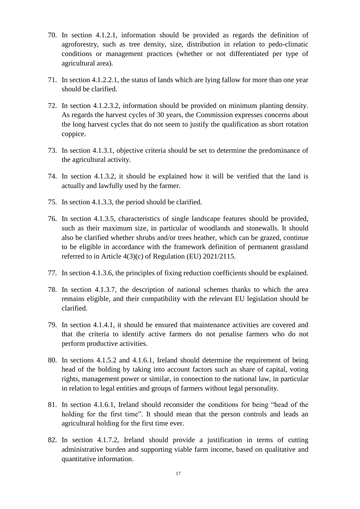- 70. In section 4.1.2.1, information should be provided as regards the definition of agroforestry, such as tree density, size, distribution in relation to pedo-climatic conditions or management practices (whether or not differentiated per type of agricultural area).
- 71. In section 4.1.2.2.1, the status of lands which are lying fallow for more than one year should be clarified.
- 72. In section 4.1.2.3.2, information should be provided on minimum planting density. As regards the harvest cycles of 30 years, the Commission expresses concerns about the long harvest cycles that do not seem to justify the qualification as short rotation coppice.
- 73. In section 4.1.3.1, objective criteria should be set to determine the predominance of the agricultural activity.
- 74. In section 4.1.3.2, it should be explained how it will be verified that the land is actually and lawfully used by the farmer.
- 75. In section 4.1.3.3, the period should be clarified.
- 76. In section 4.1.3.5, characteristics of single landscape features should be provided, such as their maximum size, in particular of woodlands and stonewalls. It should also be clarified whether shrubs and/or trees heather, which can be grazed, continue to be eligible in accordance with the framework definition of permanent grassland referred to in Article 4(3)(c) of Regulation (EU) 2021/2115.
- 77. In section 4.1.3.6, the principles of fixing reduction coefficients should be explained.
- 78. In section 4.1.3.7, the description of national schemes thanks to which the area remains eligible, and their compatibility with the relevant EU legislation should be clarified.
- 79. In section 4.1.4.1, it should be ensured that maintenance activities are covered and that the criteria to identify active farmers do not penalise farmers who do not perform productive activities.
- 80. In sections 4.1.5.2 and 4.1.6.1, Ireland should determine the requirement of being head of the holding by taking into account factors such as share of capital, voting rights, management power or similar, in connection to the national law, in particular in relation to legal entities and groups of farmers without legal personality.
- 81. In section 4.1.6.1, Ireland should reconsider the conditions for being "head of the holding for the first time". It should mean that the person controls and leads an agricultural holding for the first time ever.
- 82. In section 4.1.7.2, Ireland should provide a justification in terms of cutting administrative burden and supporting viable farm income, based on qualitative and quantitative information.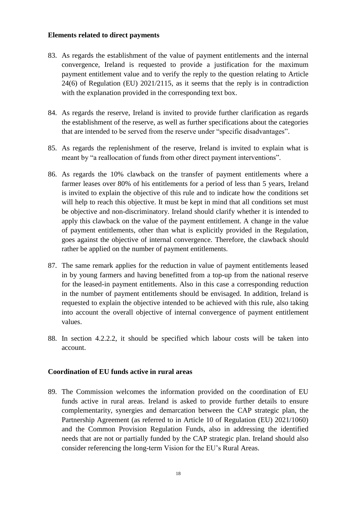### **Elements related to direct payments**

- 83. As regards the establishment of the value of payment entitlements and the internal convergence, Ireland is requested to provide a justification for the maximum payment entitlement value and to verify the reply to the question relating to Article 24(6) of Regulation (EU) 2021/2115, as it seems that the reply is in contradiction with the explanation provided in the corresponding text box.
- 84. As regards the reserve, Ireland is invited to provide further clarification as regards the establishment of the reserve, as well as further specifications about the categories that are intended to be served from the reserve under "specific disadvantages".
- 85. As regards the replenishment of the reserve, Ireland is invited to explain what is meant by "a reallocation of funds from other direct payment interventions".
- 86. As regards the 10% clawback on the transfer of payment entitlements where a farmer leases over 80% of his entitlements for a period of less than 5 years, Ireland is invited to explain the objective of this rule and to indicate how the conditions set will help to reach this objective. It must be kept in mind that all conditions set must be objective and non-discriminatory. Ireland should clarify whether it is intended to apply this clawback on the value of the payment entitlement. A change in the value of payment entitlements, other than what is explicitly provided in the Regulation, goes against the objective of internal convergence. Therefore, the clawback should rather be applied on the number of payment entitlements.
- 87. The same remark applies for the reduction in value of payment entitlements leased in by young farmers and having benefitted from a top-up from the national reserve for the leased-in payment entitlements. Also in this case a corresponding reduction in the number of payment entitlements should be envisaged. In addition, Ireland is requested to explain the objective intended to be achieved with this rule, also taking into account the overall objective of internal convergence of payment entitlement values.
- 88. In section 4.2.2.2, it should be specified which labour costs will be taken into account.

#### **Coordination of EU funds active in rural areas**

89. The Commission welcomes the information provided on the coordination of EU funds active in rural areas. Ireland is asked to provide further details to ensure complementarity, synergies and demarcation between the CAP strategic plan, the Partnership Agreement (as referred to in Article 10 of Regulation (EU) 2021/1060) and the Common Provision Regulation Funds, also in addressing the identified needs that are not or partially funded by the CAP strategic plan. Ireland should also consider referencing the long-term Vision for the EU's Rural Areas.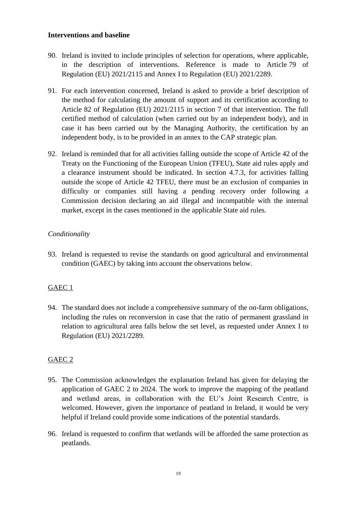#### **Interventions and baseline**

- 90. Ireland is invited to include principles of selection for operations, where applicable, in the description of interventions. Reference is made to Article 79 of Regulation (EU) 2021/2115 and Annex I to Regulation (EU) 2021/2289.
- 91. For each intervention concerned, Ireland is asked to provide a brief description of the method for calculating the amount of support and its certification according to Article 82 of Regulation (EU) 2021/2115 in section 7 of that intervention. The full certified method of calculation (when carried out by an independent body), and in case it has been carried out by the Managing Authority, the certification by an independent body, is to be provided in an annex to the CAP strategic plan.
- 92. Ireland is reminded that for all activities falling outside the scope of Article 42 of the Treaty on the Functioning of the European Union (TFEU), State aid rules apply and a clearance instrument should be indicated. In section 4.7.3, for activities falling outside the scope of Article 42 TFEU, there must be an exclusion of companies in difficulty or companies still having a pending recovery order following a Commission decision declaring an aid illegal and incompatible with the internal market, except in the cases mentioned in the applicable State aid rules.

## *Conditionality*

93. Ireland is requested to revise the standards on good agricultural and environmental condition (GAEC) by taking into account the observations below.

# GAEC 1

94. The standard does not include a comprehensive summary of the on-farm obligations, including the rules on reconversion in case that the ratio of permanent grassland in relation to agricultural area falls below the set level, as requested under Annex I to Regulation (EU) 2021/2289.

### GAEC 2

- 95. The Commission acknowledges the explanation Ireland has given for delaying the application of GAEC 2 to 2024. The work to improve the mapping of the peatland and wetland areas, in collaboration with the EU's Joint Research Centre, is welcomed. However, given the importance of peatland in Ireland, it would be very helpful if Ireland could provide some indications of the potential standards.
- 96. Ireland is requested to confirm that wetlands will be afforded the same protection as peatlands.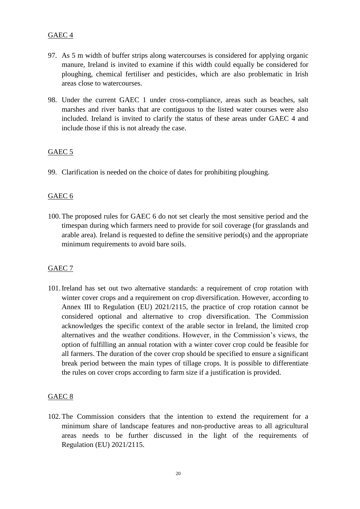# GAEC 4

- 97. As 5 m width of buffer strips along watercourses is considered for applying organic manure, Ireland is invited to examine if this width could equally be considered for ploughing, chemical fertiliser and pesticides, which are also problematic in Irish areas close to watercourses.
- 98. Under the current GAEC 1 under cross-compliance, areas such as beaches, salt marshes and river banks that are contiguous to the listed water courses were also included. Ireland is invited to clarify the status of these areas under GAEC 4 and include those if this is not already the case.

## GAEC 5

99. Clarification is needed on the choice of dates for prohibiting ploughing.

### GAEC 6

100.The proposed rules for GAEC 6 do not set clearly the most sensitive period and the timespan during which farmers need to provide for soil coverage (for grasslands and arable area). Ireland is requested to define the sensitive period(s) and the appropriate minimum requirements to avoid bare soils.

### GAEC 7

101.Ireland has set out two alternative standards: a requirement of crop rotation with winter cover crops and a requirement on crop diversification. However, according to Annex III to Regulation (EU) 2021/2115, the practice of crop rotation cannot be considered optional and alternative to crop diversification. The Commission acknowledges the specific context of the arable sector in Ireland, the limited crop alternatives and the weather conditions. However, in the Commission's views, the option of fulfilling an annual rotation with a winter cover crop could be feasible for all farmers. The duration of the cover crop should be specified to ensure a significant break period between the main types of tillage crops. It is possible to differentiate the rules on cover crops according to farm size if a justification is provided.

### GAEC 8

102.The Commission considers that the intention to extend the requirement for a minimum share of landscape features and non-productive areas to all agricultural areas needs to be further discussed in the light of the requirements of Regulation (EU) 2021/2115.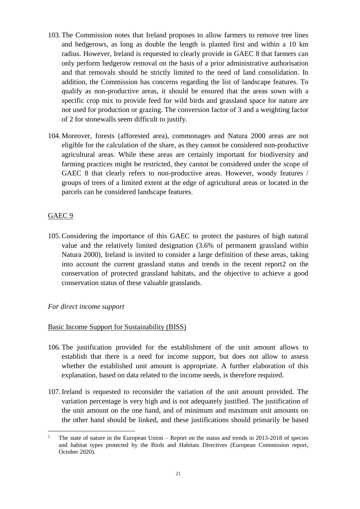- 103.The Commission notes that Ireland proposes to allow farmers to remove tree lines and hedgerows, as long as double the length is planted first and within a 10 km radius. However, Ireland is requested to clearly provide in GAEC 8 that farmers can only perform hedgerow removal on the basis of a prior administrative authorisation and that removals should be strictly limited to the need of land consolidation. In addition, the Commission has concerns regarding the list of landscape features. To qualify as non-productive areas, it should be ensured that the areas sown with a specific crop mix to provide feed for wild birds and grassland space for nature are not used for production or grazing. The conversion factor of 3 and a weighting factor of 2 for stonewalls seem difficult to justify.
- 104.Moreover, forests (afforested area), commonages and Natura 2000 areas are not eligible for the calculation of the share, as they cannot be considered non-productive agricultural areas. While these areas are certainly important for biodiversity and farming practices might be restricted, they cannot be considered under the scope of GAEC 8 that clearly refers to non-productive areas. However, woody features / groups of trees of a limited extent at the edge of agricultural areas or located in the parcels can be considered landscape features.

### GAEC 9

105.Considering the importance of this GAEC to protect the pastures of high natural value and the relatively limited designation (3.6% of permanent grassland within Natura 2000), Ireland is invited to consider a large definition of these areas, taking into account the current grassland status and trends in the recent report2 on the conservation of protected grassland habitats, and the objective to achieve a good conservation status of these valuable grasslands.

### *For direct income support*

### Basic Income Support for Sustainability (BISS)

- 106.The justification provided for the establishment of the unit amount allows to establish that there is a need for income support, but does not allow to assess whether the established unit amount is appropriate. A further elaboration of this explanation, based on data related to the income needs, is therefore required.
- 107.Ireland is requested to reconsider the variation of the unit amount provided. The variation percentage is very high and is not adequately justified. The justification of the unit amount on the one hand, and of minimum and maximum unit amounts on the other hand should be linked, and these justifications should primarily be based

 $\overline{2}$ <sup>2</sup> The state of nature in the European Union – Report on the status and trends in 2013-2018 of species and habitat types protected by the Birds and Habitats Directives (European Commission report, October 2020).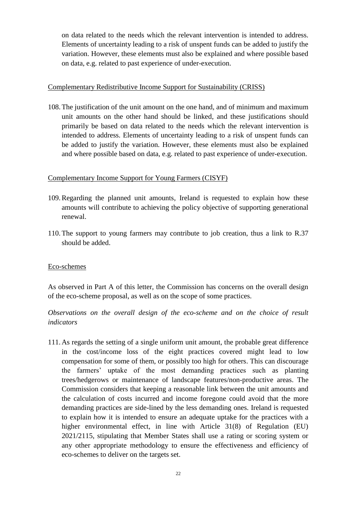on data related to the needs which the relevant intervention is intended to address. Elements of uncertainty leading to a risk of unspent funds can be added to justify the variation. However, these elements must also be explained and where possible based on data, e.g. related to past experience of under-execution.

#### Complementary Redistributive Income Support for Sustainability (CRISS)

108.The justification of the unit amount on the one hand, and of minimum and maximum unit amounts on the other hand should be linked, and these justifications should primarily be based on data related to the needs which the relevant intervention is intended to address. Elements of uncertainty leading to a risk of unspent funds can be added to justify the variation. However, these elements must also be explained and where possible based on data, e.g. related to past experience of under-execution.

#### Complementary Income Support for Young Farmers (CISYF)

- 109.Regarding the planned unit amounts, Ireland is requested to explain how these amounts will contribute to achieving the policy objective of supporting generational renewal.
- 110.The support to young farmers may contribute to job creation, thus a link to R.37 should be added.

#### Eco-schemes

As observed in Part A of this letter, the Commission has concerns on the overall design of the eco-scheme proposal, as well as on the scope of some practices.

## *Observations on the overall design of the eco-scheme and on the choice of result indicators*

111.As regards the setting of a single uniform unit amount, the probable great difference in the cost/income loss of the eight practices covered might lead to low compensation for some of them, or possibly too high for others. This can discourage the farmers' uptake of the most demanding practices such as planting trees/hedgerows or maintenance of landscape features/non-productive areas. The Commission considers that keeping a reasonable link between the unit amounts and the calculation of costs incurred and income foregone could avoid that the more demanding practices are side-lined by the less demanding ones. Ireland is requested to explain how it is intended to ensure an adequate uptake for the practices with a higher environmental effect, in line with Article 31(8) of Regulation (EU) 2021/2115, stipulating that Member States shall use a rating or scoring system or any other appropriate methodology to ensure the effectiveness and efficiency of eco-schemes to deliver on the targets set.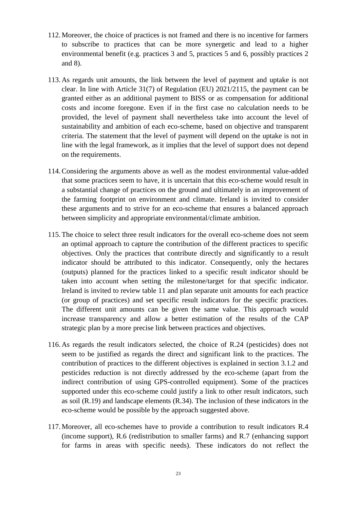- 112.Moreover, the choice of practices is not framed and there is no incentive for farmers to subscribe to practices that can be more synergetic and lead to a higher environmental benefit (e.g. practices 3 and 5, practices 5 and 6, possibly practices 2 and 8).
- 113.As regards unit amounts, the link between the level of payment and uptake is not clear. In line with Article 31(7) of Regulation (EU) 2021/2115, the payment can be granted either as an additional payment to BISS or as compensation for additional costs and income foregone. Even if in the first case no calculation needs to be provided, the level of payment shall nevertheless take into account the level of sustainability and ambition of each eco-scheme, based on objective and transparent criteria. The statement that the level of payment will depend on the uptake is not in line with the legal framework, as it implies that the level of support does not depend on the requirements.
- 114.Considering the arguments above as well as the modest environmental value-added that some practices seem to have, it is uncertain that this eco-scheme would result in a substantial change of practices on the ground and ultimately in an improvement of the farming footprint on environment and climate. Ireland is invited to consider these arguments and to strive for an eco-scheme that ensures a balanced approach between simplicity and appropriate environmental/climate ambition.
- 115.The choice to select three result indicators for the overall eco-scheme does not seem an optimal approach to capture the contribution of the different practices to specific objectives. Only the practices that contribute directly and significantly to a result indicator should be attributed to this indicator. Consequently, only the hectares (outputs) planned for the practices linked to a specific result indicator should be taken into account when setting the milestone/target for that specific indicator. Ireland is invited to review table 11 and plan separate unit amounts for each practice (or group of practices) and set specific result indicators for the specific practices. The different unit amounts can be given the same value. This approach would increase transparency and allow a better estimation of the results of the CAP strategic plan by a more precise link between practices and objectives.
- 116.As regards the result indicators selected, the choice of R.24 (pesticides) does not seem to be justified as regards the direct and significant link to the practices. The contribution of practices to the different objectives is explained in section 3.1.2 and pesticides reduction is not directly addressed by the eco-scheme (apart from the indirect contribution of using GPS-controlled equipment). Some of the practices supported under this eco-scheme could justify a link to other result indicators, such as soil (R.19) and landscape elements (R.34). The inclusion of these indicators in the eco-scheme would be possible by the approach suggested above.
- 117.Moreover, all eco-schemes have to provide a contribution to result indicators R.4 (income support), R.6 (redistribution to smaller farms) and R.7 (enhancing support for farms in areas with specific needs). These indicators do not reflect the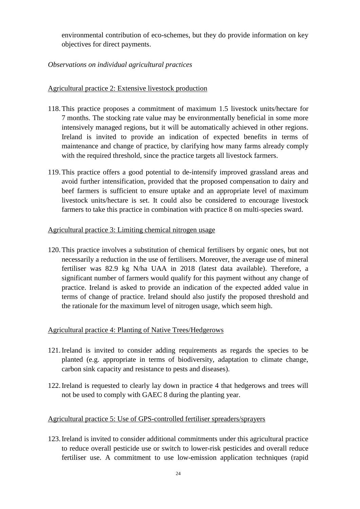environmental contribution of eco-schemes, but they do provide information on key objectives for direct payments.

## *Observations on individual agricultural practices*

### Agricultural practice 2: Extensive livestock production

- 118.This practice proposes a commitment of maximum 1.5 livestock units/hectare for 7 months. The stocking rate value may be environmentally beneficial in some more intensively managed regions, but it will be automatically achieved in other regions. Ireland is invited to provide an indication of expected benefits in terms of maintenance and change of practice, by clarifying how many farms already comply with the required threshold, since the practice targets all livestock farmers.
- 119.This practice offers a good potential to de-intensify improved grassland areas and avoid further intensification, provided that the proposed compensation to dairy and beef farmers is sufficient to ensure uptake and an appropriate level of maximum livestock units/hectare is set. It could also be considered to encourage livestock farmers to take this practice in combination with practice 8 on multi-species sward.

#### Agricultural practice 3: Limiting chemical nitrogen usage

120.This practice involves a substitution of chemical fertilisers by organic ones, but not necessarily a reduction in the use of fertilisers. Moreover, the average use of mineral fertiliser was 82.9 kg N/ha UAA in 2018 (latest data available). Therefore, a significant number of farmers would qualify for this payment without any change of practice. Ireland is asked to provide an indication of the expected added value in terms of change of practice. Ireland should also justify the proposed threshold and the rationale for the maximum level of nitrogen usage, which seem high.

#### Agricultural practice 4: Planting of Native Trees/Hedgerows

- 121.Ireland is invited to consider adding requirements as regards the species to be planted (e.g. appropriate in terms of biodiversity, adaptation to climate change, carbon sink capacity and resistance to pests and diseases).
- 122.Ireland is requested to clearly lay down in practice 4 that hedgerows and trees will not be used to comply with GAEC 8 during the planting year.

### Agricultural practice 5: Use of GPS-controlled fertiliser spreaders/sprayers

123.Ireland is invited to consider additional commitments under this agricultural practice to reduce overall pesticide use or switch to lower-risk pesticides and overall reduce fertiliser use. A commitment to use low-emission application techniques (rapid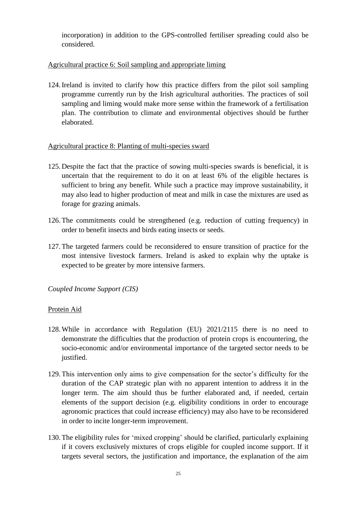incorporation) in addition to the GPS-controlled fertiliser spreading could also be considered.

## Agricultural practice 6: Soil sampling and appropriate liming

124.Ireland is invited to clarify how this practice differs from the pilot soil sampling programme currently run by the Irish agricultural authorities. The practices of soil sampling and liming would make more sense within the framework of a fertilisation plan. The contribution to climate and environmental objectives should be further elaborated.

### Agricultural practice 8: Planting of multi-species sward

- 125.Despite the fact that the practice of sowing multi-species swards is beneficial, it is uncertain that the requirement to do it on at least 6% of the eligible hectares is sufficient to bring any benefit. While such a practice may improve sustainability, it may also lead to higher production of meat and milk in case the mixtures are used as forage for grazing animals.
- 126.The commitments could be strengthened (e.g. reduction of cutting frequency) in order to benefit insects and birds eating insects or seeds.
- 127.The targeted farmers could be reconsidered to ensure transition of practice for the most intensive livestock farmers. Ireland is asked to explain why the uptake is expected to be greater by more intensive farmers.

*Coupled Income Support (CIS)*

### Protein Aid

- 128.While in accordance with Regulation (EU) 2021/2115 there is no need to demonstrate the difficulties that the production of protein crops is encountering, the socio-economic and/or environmental importance of the targeted sector needs to be justified.
- 129.This intervention only aims to give compensation for the sector's difficulty for the duration of the CAP strategic plan with no apparent intention to address it in the longer term. The aim should thus be further elaborated and, if needed, certain elements of the support decision (e.g. eligibility conditions in order to encourage agronomic practices that could increase efficiency) may also have to be reconsidered in order to incite longer-term improvement.
- 130.The eligibility rules for 'mixed cropping' should be clarified, particularly explaining if it covers exclusively mixtures of crops eligible for coupled income support. If it targets several sectors, the justification and importance, the explanation of the aim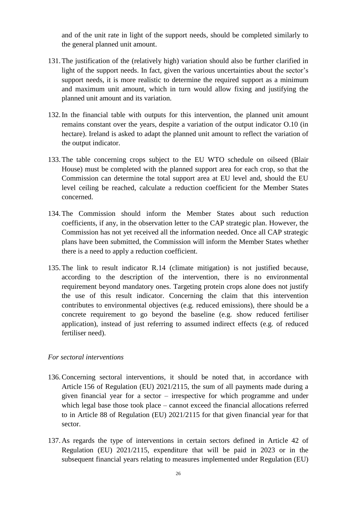and of the unit rate in light of the support needs, should be completed similarly to the general planned unit amount.

- 131.The justification of the (relatively high) variation should also be further clarified in light of the support needs. In fact, given the various uncertainties about the sector's support needs, it is more realistic to determine the required support as a minimum and maximum unit amount, which in turn would allow fixing and justifying the planned unit amount and its variation.
- 132.In the financial table with outputs for this intervention, the planned unit amount remains constant over the years, despite a variation of the output indicator O.10 (in hectare). Ireland is asked to adapt the planned unit amount to reflect the variation of the output indicator.
- 133.The table concerning crops subject to the EU WTO schedule on oilseed (Blair House) must be completed with the planned support area for each crop, so that the Commission can determine the total support area at EU level and, should the EU level ceiling be reached, calculate a reduction coefficient for the Member States concerned.
- 134.The Commission should inform the Member States about such reduction coefficients, if any, in the observation letter to the CAP strategic plan. However, the Commission has not yet received all the information needed. Once all CAP strategic plans have been submitted, the Commission will inform the Member States whether there is a need to apply a reduction coefficient.
- 135.The link to result indicator R.14 (climate mitigation) is not justified because, according to the description of the intervention, there is no environmental requirement beyond mandatory ones. Targeting protein crops alone does not justify the use of this result indicator. Concerning the claim that this intervention contributes to environmental objectives (e.g. reduced emissions), there should be a concrete requirement to go beyond the baseline (e.g. show reduced fertiliser application), instead of just referring to assumed indirect effects (e.g. of reduced fertiliser need).

#### *For sectoral interventions*

- 136.Concerning sectoral interventions, it should be noted that, in accordance with Article 156 of Regulation (EU) 2021/2115, the sum of all payments made during a given financial year for a sector – irrespective for which programme and under which legal base those took place – cannot exceed the financial allocations referred to in Article 88 of Regulation (EU) 2021/2115 for that given financial year for that sector.
- 137.As regards the type of interventions in certain sectors defined in Article 42 of Regulation (EU) 2021/2115, expenditure that will be paid in 2023 or in the subsequent financial years relating to measures implemented under Regulation (EU)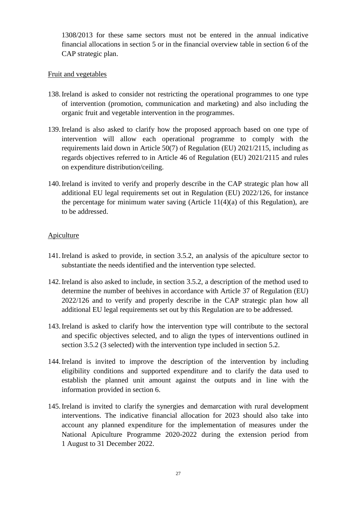1308/2013 for these same sectors must not be entered in the annual indicative financial allocations in section 5 or in the financial overview table in section 6 of the CAP strategic plan.

### Fruit and vegetables

- 138.Ireland is asked to consider not restricting the operational programmes to one type of intervention (promotion, communication and marketing) and also including the organic fruit and vegetable intervention in the programmes.
- 139.Ireland is also asked to clarify how the proposed approach based on one type of intervention will allow each operational programme to comply with the requirements laid down in Article 50(7) of Regulation (EU) 2021/2115, including as regards objectives referred to in Article 46 of Regulation (EU) 2021/2115 and rules on expenditure distribution/ceiling.
- 140.Ireland is invited to verify and properly describe in the CAP strategic plan how all additional EU legal requirements set out in Regulation (EU) 2022/126, for instance the percentage for minimum water saving (Article 11(4)(a) of this Regulation), are to be addressed.

### Apiculture

- 141.Ireland is asked to provide, in section 3.5.2, an analysis of the apiculture sector to substantiate the needs identified and the intervention type selected.
- 142.Ireland is also asked to include, in section 3.5.2, a description of the method used to determine the number of beehives in accordance with Article 37 of Regulation (EU) 2022/126 and to verify and properly describe in the CAP strategic plan how all additional EU legal requirements set out by this Regulation are to be addressed.
- 143.Ireland is asked to clarify how the intervention type will contribute to the sectoral and specific objectives selected, and to align the types of interventions outlined in section 3.5.2 (3 selected) with the intervention type included in section 5.2.
- 144.Ireland is invited to improve the description of the intervention by including eligibility conditions and supported expenditure and to clarify the data used to establish the planned unit amount against the outputs and in line with the information provided in section 6.
- 145.Ireland is invited to clarify the synergies and demarcation with rural development interventions. The indicative financial allocation for 2023 should also take into account any planned expenditure for the implementation of measures under the National Apiculture Programme 2020-2022 during the extension period from 1 August to 31 December 2022.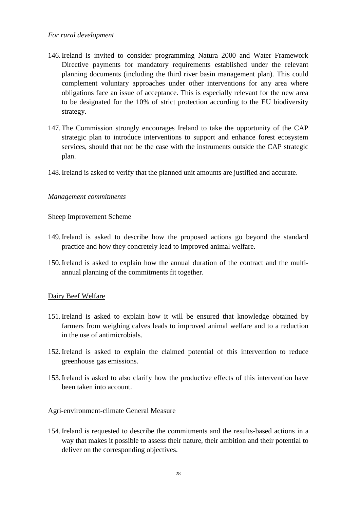### *For rural development*

- 146.Ireland is invited to consider programming Natura 2000 and Water Framework Directive payments for mandatory requirements established under the relevant planning documents (including the third river basin management plan). This could complement voluntary approaches under other interventions for any area where obligations face an issue of acceptance. This is especially relevant for the new area to be designated for the 10% of strict protection according to the EU biodiversity strategy.
- 147.The Commission strongly encourages Ireland to take the opportunity of the CAP strategic plan to introduce interventions to support and enhance forest ecosystem services, should that not be the case with the instruments outside the CAP strategic plan.
- 148.Ireland is asked to verify that the planned unit amounts are justified and accurate.

#### *Management commitments*

#### Sheep Improvement Scheme

- 149.Ireland is asked to describe how the proposed actions go beyond the standard practice and how they concretely lead to improved animal welfare.
- 150.Ireland is asked to explain how the annual duration of the contract and the multiannual planning of the commitments fit together.

### Dairy Beef Welfare

- 151.Ireland is asked to explain how it will be ensured that knowledge obtained by farmers from weighing calves leads to improved animal welfare and to a reduction in the use of antimicrobials.
- 152.Ireland is asked to explain the claimed potential of this intervention to reduce greenhouse gas emissions.
- 153.Ireland is asked to also clarify how the productive effects of this intervention have been taken into account.

#### Agri-environment-climate General Measure

154.Ireland is requested to describe the commitments and the results-based actions in a way that makes it possible to assess their nature, their ambition and their potential to deliver on the corresponding objectives.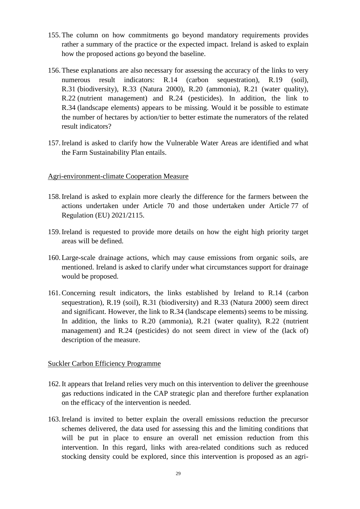- 155.The column on how commitments go beyond mandatory requirements provides rather a summary of the practice or the expected impact. Ireland is asked to explain how the proposed actions go beyond the baseline.
- 156.These explanations are also necessary for assessing the accuracy of the links to very numerous result indicators: R.14 (carbon sequestration), R.19 (soil), R.31 (biodiversity), R.33 (Natura 2000), R.20 (ammonia), R.21 (water quality), R.22 (nutrient management) and R.24 (pesticides). In addition, the link to R.34 (landscape elements) appears to be missing. Would it be possible to estimate the number of hectares by action/tier to better estimate the numerators of the related result indicators?
- 157.Ireland is asked to clarify how the Vulnerable Water Areas are identified and what the Farm Sustainability Plan entails.

#### Agri-environment-climate Cooperation Measure

- 158.Ireland is asked to explain more clearly the difference for the farmers between the actions undertaken under Article 70 and those undertaken under Article 77 of Regulation (EU) 2021/2115.
- 159.Ireland is requested to provide more details on how the eight high priority target areas will be defined.
- 160.Large-scale drainage actions, which may cause emissions from organic soils, are mentioned. Ireland is asked to clarify under what circumstances support for drainage would be proposed.
- 161.Concerning result indicators, the links established by Ireland to R.14 (carbon sequestration), R.19 (soil), R.31 (biodiversity) and R.33 (Natura 2000) seem direct and significant. However, the link to R.34 (landscape elements) seems to be missing. In addition, the links to R.20 (ammonia), R.21 (water quality), R.22 (nutrient management) and R.24 (pesticides) do not seem direct in view of the (lack of) description of the measure.

#### Suckler Carbon Efficiency Programme

- 162.It appears that Ireland relies very much on this intervention to deliver the greenhouse gas reductions indicated in the CAP strategic plan and therefore further explanation on the efficacy of the intervention is needed.
- 163.Ireland is invited to better explain the overall emissions reduction the precursor schemes delivered, the data used for assessing this and the limiting conditions that will be put in place to ensure an overall net emission reduction from this intervention. In this regard, links with area-related conditions such as reduced stocking density could be explored, since this intervention is proposed as an agri-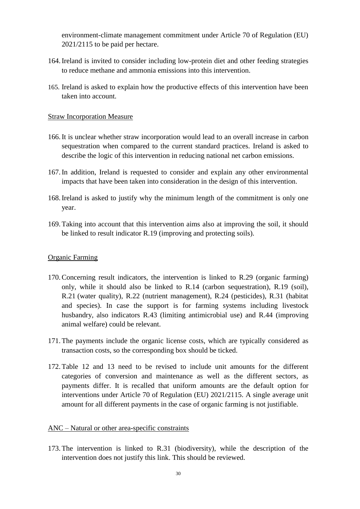environment-climate management commitment under Article 70 of Regulation (EU) 2021/2115 to be paid per hectare.

- 164.Ireland is invited to consider including low-protein diet and other feeding strategies to reduce methane and ammonia emissions into this intervention.
- 165. Ireland is asked to explain how the productive effects of this intervention have been taken into account.

#### Straw Incorporation Measure

- 166.It is unclear whether straw incorporation would lead to an overall increase in carbon sequestration when compared to the current standard practices. Ireland is asked to describe the logic of this intervention in reducing national net carbon emissions.
- 167.In addition, Ireland is requested to consider and explain any other environmental impacts that have been taken into consideration in the design of this intervention.
- 168.Ireland is asked to justify why the minimum length of the commitment is only one year.
- 169.Taking into account that this intervention aims also at improving the soil, it should be linked to result indicator R.19 (improving and protecting soils).

#### Organic Farming

- 170.Concerning result indicators, the intervention is linked to R.29 (organic farming) only, while it should also be linked to R.14 (carbon sequestration), R.19 (soil), R.21 (water quality), R.22 (nutrient management), R.24 (pesticides), R.31 (habitat and species). In case the support is for farming systems including livestock husbandry, also indicators R.43 (limiting antimicrobial use) and R.44 (improving animal welfare) could be relevant.
- 171.The payments include the organic license costs, which are typically considered as transaction costs, so the corresponding box should be ticked.
- 172.Table 12 and 13 need to be revised to include unit amounts for the different categories of conversion and maintenance as well as the different sectors, as payments differ. It is recalled that uniform amounts are the default option for interventions under Article 70 of Regulation (EU) 2021/2115. A single average unit amount for all different payments in the case of organic farming is not justifiable.

#### ANC – Natural or other area-specific constraints

173.The intervention is linked to R.31 (biodiversity), while the description of the intervention does not justify this link. This should be reviewed.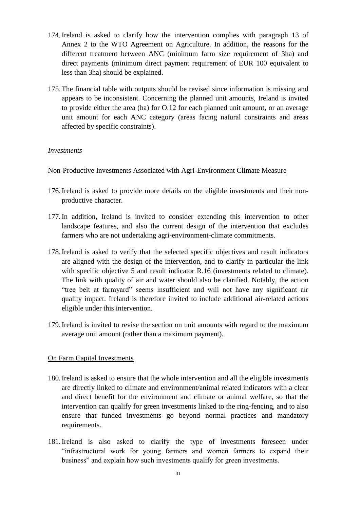- 174.Ireland is asked to clarify how the intervention complies with paragraph 13 of Annex 2 to the WTO Agreement on Agriculture. In addition, the reasons for the different treatment between ANC (minimum farm size requirement of 3ha) and direct payments (minimum direct payment requirement of EUR 100 equivalent to less than 3ha) should be explained.
- 175.The financial table with outputs should be revised since information is missing and appears to be inconsistent. Concerning the planned unit amounts, Ireland is invited to provide either the area (ha) for O.12 for each planned unit amount, or an average unit amount for each ANC category (areas facing natural constraints and areas affected by specific constraints).

#### *Investments*

Non-Productive Investments Associated with Agri-Environment Climate Measure

- 176.Ireland is asked to provide more details on the eligible investments and their nonproductive character.
- 177.In addition, Ireland is invited to consider extending this intervention to other landscape features, and also the current design of the intervention that excludes farmers who are not undertaking agri-environment-climate commitments.
- 178.Ireland is asked to verify that the selected specific objectives and result indicators are aligned with the design of the intervention, and to clarify in particular the link with specific objective 5 and result indicator R.16 (investments related to climate). The link with quality of air and water should also be clarified. Notably, the action "tree belt at farmyard" seems insufficient and will not have any significant air quality impact. Ireland is therefore invited to include additional air-related actions eligible under this intervention.
- 179.Ireland is invited to revise the section on unit amounts with regard to the maximum average unit amount (rather than a maximum payment).

### On Farm Capital Investments

- 180.Ireland is asked to ensure that the whole intervention and all the eligible investments are directly linked to climate and environment/animal related indicators with a clear and direct benefit for the environment and climate or animal welfare, so that the intervention can qualify for green investments linked to the ring-fencing, and to also ensure that funded investments go beyond normal practices and mandatory requirements.
- 181.Ireland is also asked to clarify the type of investments foreseen under "infrastructural work for young farmers and women farmers to expand their business" and explain how such investments qualify for green investments.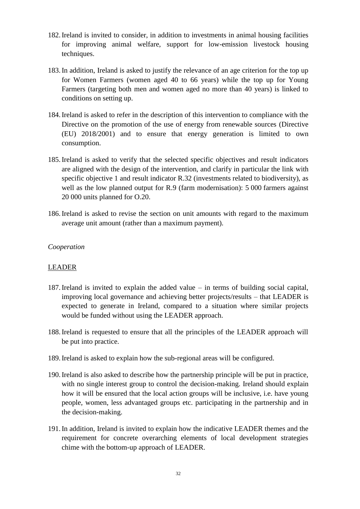- 182.Ireland is invited to consider, in addition to investments in animal housing facilities for improving animal welfare, support for low-emission livestock housing techniques.
- 183.In addition, Ireland is asked to justify the relevance of an age criterion for the top up for Women Farmers (women aged 40 to 66 years) while the top up for Young Farmers (targeting both men and women aged no more than 40 years) is linked to conditions on setting up.
- 184.Ireland is asked to refer in the description of this intervention to compliance with the Directive on the promotion of the use of energy from renewable sources (Directive (EU) 2018/2001) and to ensure that energy generation is limited to own consumption.
- 185.Ireland is asked to verify that the selected specific objectives and result indicators are aligned with the design of the intervention, and clarify in particular the link with specific objective 1 and result indicator R.32 (investments related to biodiversity), as well as the low planned output for R.9 (farm modernisation): 5 000 farmers against 20 000 units planned for O.20.
- 186.Ireland is asked to revise the section on unit amounts with regard to the maximum average unit amount (rather than a maximum payment).

#### *Cooperation*

#### LEADER

- 187.Ireland is invited to explain the added value in terms of building social capital, improving local governance and achieving better projects/results – that LEADER is expected to generate in Ireland, compared to a situation where similar projects would be funded without using the LEADER approach.
- 188.Ireland is requested to ensure that all the principles of the LEADER approach will be put into practice.
- 189.Ireland is asked to explain how the sub-regional areas will be configured.
- 190.Ireland is also asked to describe how the partnership principle will be put in practice, with no single interest group to control the decision-making. Ireland should explain how it will be ensured that the local action groups will be inclusive, i.e. have young people, women, less advantaged groups etc. participating in the partnership and in the decision-making.
- 191.In addition, Ireland is invited to explain how the indicative LEADER themes and the requirement for concrete overarching elements of local development strategies chime with the bottom-up approach of LEADER.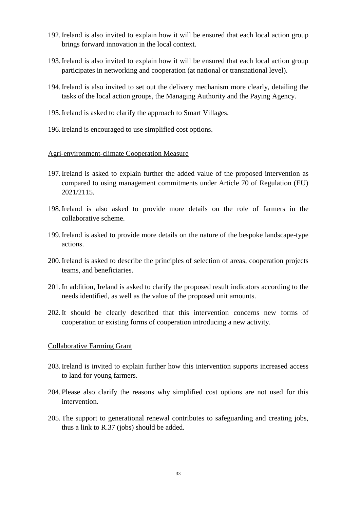- 192.Ireland is also invited to explain how it will be ensured that each local action group brings forward innovation in the local context.
- 193.Ireland is also invited to explain how it will be ensured that each local action group participates in networking and cooperation (at national or transnational level).
- 194.Ireland is also invited to set out the delivery mechanism more clearly, detailing the tasks of the local action groups, the Managing Authority and the Paying Agency.
- 195.Ireland is asked to clarify the approach to Smart Villages.
- 196.Ireland is encouraged to use simplified cost options.

#### Agri-environment-climate Cooperation Measure

- 197.Ireland is asked to explain further the added value of the proposed intervention as compared to using management commitments under Article 70 of Regulation (EU) 2021/2115.
- 198.Ireland is also asked to provide more details on the role of farmers in the collaborative scheme.
- 199.Ireland is asked to provide more details on the nature of the bespoke landscape-type actions.
- 200.Ireland is asked to describe the principles of selection of areas, cooperation projects teams, and beneficiaries.
- 201.In addition, Ireland is asked to clarify the proposed result indicators according to the needs identified, as well as the value of the proposed unit amounts.
- 202.It should be clearly described that this intervention concerns new forms of cooperation or existing forms of cooperation introducing a new activity.

#### Collaborative Farming Grant

- 203.Ireland is invited to explain further how this intervention supports increased access to land for young farmers.
- 204. Please also clarify the reasons why simplified cost options are not used for this intervention.
- 205.The support to generational renewal contributes to safeguarding and creating jobs, thus a link to R.37 (jobs) should be added.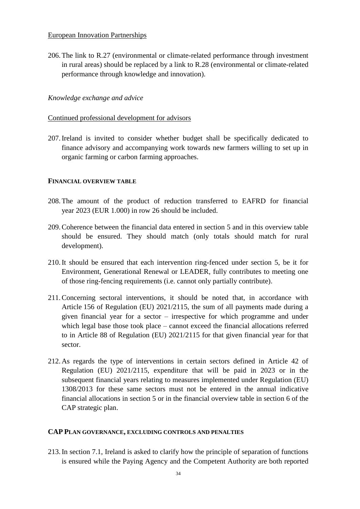#### European Innovation Partnerships

206.The link to R.27 (environmental or climate-related performance through investment in rural areas) should be replaced by a link to R.28 (environmental or climate-related performance through knowledge and innovation).

### *Knowledge exchange and advice*

#### Continued professional development for advisors

207.Ireland is invited to consider whether budget shall be specifically dedicated to finance advisory and accompanying work towards new farmers willing to set up in organic farming or carbon farming approaches.

#### **FINANCIAL OVERVIEW TABLE**

- 208.The amount of the product of reduction transferred to EAFRD for financial year 2023 (EUR 1.000) in row 26 should be included.
- 209.Coherence between the financial data entered in section 5 and in this overview table should be ensured. They should match (only totals should match for rural development).
- 210.It should be ensured that each intervention ring-fenced under section 5, be it for Environment, Generational Renewal or LEADER, fully contributes to meeting one of those ring-fencing requirements (i.e. cannot only partially contribute).
- 211.Concerning sectoral interventions, it should be noted that, in accordance with Article 156 of Regulation (EU) 2021/2115, the sum of all payments made during a given financial year for a sector – irrespective for which programme and under which legal base those took place – cannot exceed the financial allocations referred to in Article 88 of Regulation (EU) 2021/2115 for that given financial year for that sector.
- 212.As regards the type of interventions in certain sectors defined in Article 42 of Regulation (EU) 2021/2115, expenditure that will be paid in 2023 or in the subsequent financial years relating to measures implemented under Regulation (EU) 1308/2013 for these same sectors must not be entered in the annual indicative financial allocations in section 5 or in the financial overview table in section 6 of the CAP strategic plan.

#### **CAP PLAN GOVERNANCE, EXCLUDING CONTROLS AND PENALTIES**

213.In section 7.1, Ireland is asked to clarify how the principle of separation of functions is ensured while the Paying Agency and the Competent Authority are both reported